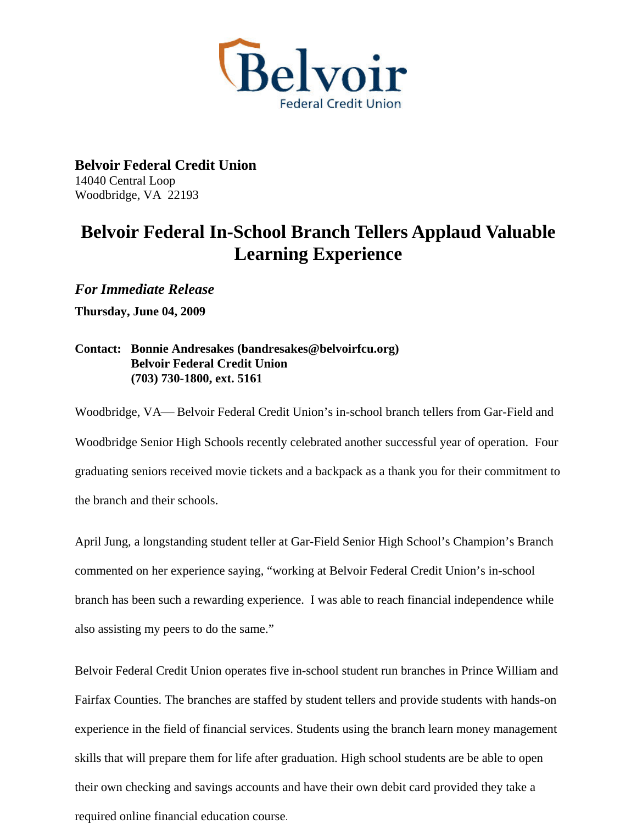

**Belvoir Federal Credit Union**  14040 Central Loop Woodbridge, VA 22193

## **Belvoir Federal In-School Branch Tellers Applaud Valuable Learning Experience**

*For Immediate Release*  **Thursday, June 04, 2009** 

## **Contact: Bonnie Andresakes (bandresakes@belvoirfcu.org) Belvoir Federal Credit Union (703) 730-1800, ext. 5161**

Woodbridge, VA— Belvoir Federal Credit Union's in-school branch tellers from Gar-Field and Woodbridge Senior High Schools recently celebrated another successful year of operation. Four graduating seniors received movie tickets and a backpack as a thank you for their commitment to the branch and their schools.

April Jung, a longstanding student teller at Gar-Field Senior High School's Champion's Branch commented on her experience saying, "working at Belvoir Federal Credit Union's in-school branch has been such a rewarding experience. I was able to reach financial independence while also assisting my peers to do the same."

Belvoir Federal Credit Union operates five in-school student run branches in Prince William and Fairfax Counties. The branches are staffed by student tellers and provide students with hands-on experience in the field of financial services. Students using the branch learn money management skills that will prepare them for life after graduation. High school students are be able to open their own checking and savings accounts and have their own debit card provided they take a required online financial education course.